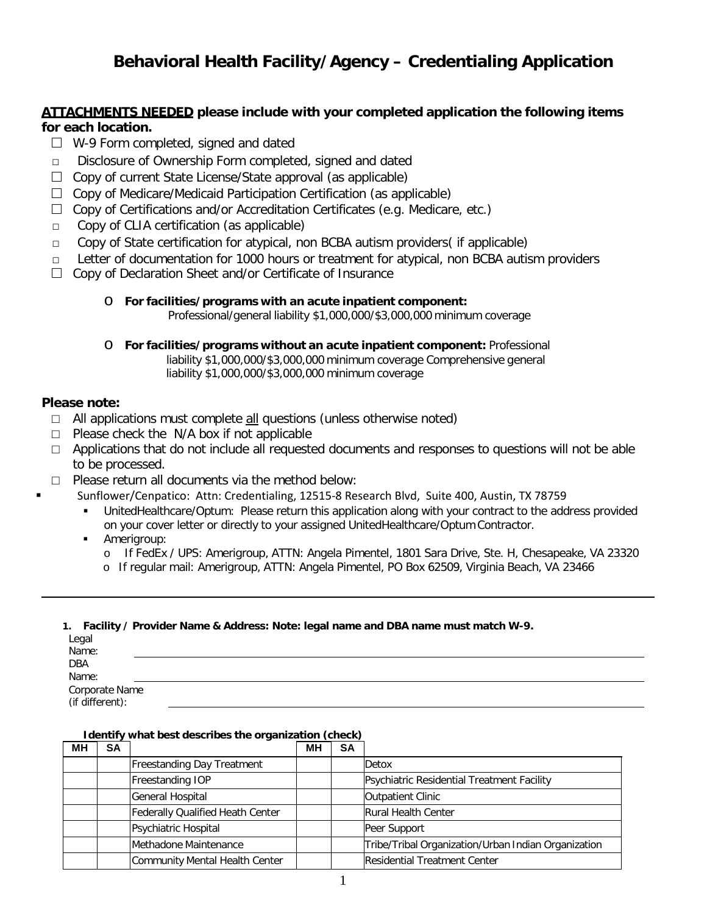# **Behavioral Health Facility/Agency – Credentialing Application**

## **ATTACHMENTS NEEDED please include with your completed application the following items for each location.**

- $\Box$  W-9 Form completed, signed and dated
- □ Disclosure of Ownership Form completed, signed and dated
- $\Box$  Copy of current State License/State approval (as applicable)
- $\Box$  Copy of Medicare/Medicaid Participation Certification (as applicable)
- $\Box$  Copy of Certifications and/or Accreditation Certificates (e.g. Medicare, etc.)<br>  $\Box$  Copy of CLIA certification (as applicable)
- Copy of CLIA certification (as applicable)
- $\Box$  Copy of State certification for atypical, non BCBA autism providers( if applicable)
- $\Box$  Letter of documentation for 1000 hours or treatment for atypical, non BCBA autism providers
- □ Copy of Declaration Sheet and/or Certificate of Insurance

#### o **For facilities/programs with an acute inpatient component:** Professional/general liability \$1,000,000/\$3,000,000 minimum coverage

o **For facilities/programs without an acute inpatient component:** Professional liability \$1,000,000/\$3,000,000 minimum coverage Comprehensive general liability \$1,000,000/\$3,000,000 minimum coverage

## **Please note:**

- $\Box$  All applications must complete  $\underline{\text{all}}$  questions (unless otherwise noted)
- $\Box$  Please check the N/A box if not applicable
- $\Box$  Applications that do not include all requested documents and responses to questions will not be able to be processed.
- $\Box$  Please return all documents via the method below:
	- Sunflower/Cenpatico: Attn: Credentialing, 12515-8 Research Blvd, Suite 400, Austin, TX 78759
		- UnitedHealthcare/Optum: Please return this application along with your contract to the address provided on your cover letter or directly to your assigned UnitedHealthcare/Optum Contractor.
		- Amerigroup:
			- o If FedEx / UPS: Amerigroup, ATTN: Angela Pimentel, 1801 Sara Drive, Ste. H, Chesapeake, VA 23320
			- o If regular mail: Amerigroup, ATTN: Angela Pimentel, PO Box 62509, Virginia Beach, VA 23466

#### **1. Facility / Provider Name & Address: Note: legal name and DBA name must match W-9.**

| Legal                             |  |
|-----------------------------------|--|
| Name:                             |  |
| <b>DBA</b>                        |  |
| Name:                             |  |
|                                   |  |
| Corporate Name<br>(if different): |  |

#### **Identify what best describes the organization (check)**

| MН | <b>SA</b> |                                   | MН | <b>SA</b> |                                                     |
|----|-----------|-----------------------------------|----|-----------|-----------------------------------------------------|
|    |           | <b>Freestanding Day Treatment</b> |    |           | Detox                                               |
|    |           | Freestanding IOP                  |    |           | Psychiatric Residential Treatment Facility          |
|    |           | General Hospital                  |    |           | <b>Outpatient Clinic</b>                            |
|    |           | Federally Qualified Heath Center  |    |           | <b>Rural Health Center</b>                          |
|    |           | Psychiatric Hospital              |    |           | Peer Support                                        |
|    |           | Methadone Maintenance             |    |           | Tribe/Tribal Organization/Urban Indian Organization |
|    |           | Community Mental Health Center    |    |           | <b>Residential Treatment Center</b>                 |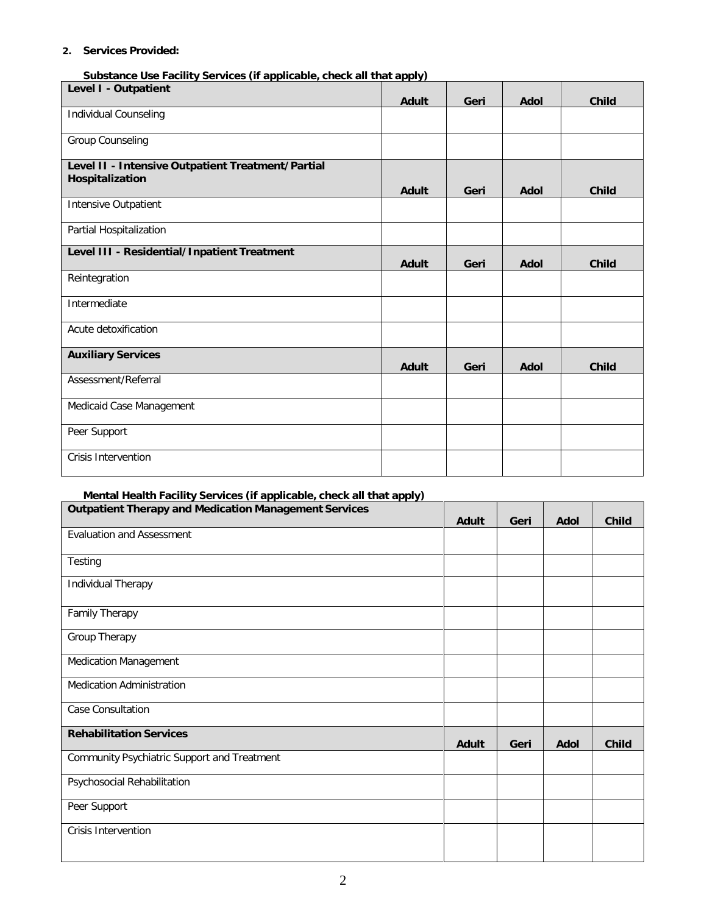#### **2. Services Provided:**

**Substance Use Facility Services (if applicable, check all that apply)**

| Level I - Outpatient                                                 |       |      |             |              |
|----------------------------------------------------------------------|-------|------|-------------|--------------|
|                                                                      | Adult | Geri | <b>Adol</b> | <b>Child</b> |
| Individual Counseling                                                |       |      |             |              |
| <b>Group Counseling</b>                                              |       |      |             |              |
| Level II - Intensive Outpatient Treatment/Partial<br>Hospitalization | Adult | Geri | <b>Adol</b> | <b>Child</b> |
| Intensive Outpatient                                                 |       |      |             |              |
| Partial Hospitalization                                              |       |      |             |              |
| Level III - Residential/Inpatient Treatment                          | Adult | Geri | <b>Adol</b> | <b>Child</b> |
| Reintegration                                                        |       |      |             |              |
| Intermediate                                                         |       |      |             |              |
| Acute detoxification                                                 |       |      |             |              |
| <b>Auxiliary Services</b>                                            | Adult | Geri | Adol        | <b>Child</b> |
| Assessment/Referral                                                  |       |      |             |              |
| Medicaid Case Management                                             |       |      |             |              |
| Peer Support                                                         |       |      |             |              |
| <b>Crisis Intervention</b>                                           |       |      |             |              |

## **Mental Health Facility Services (if applicable, check all that apply)**

| <b>Outpatient Therapy and Medication Management Services</b> | <b>Adult</b> | Geri | <b>Adol</b> | <b>Child</b> |
|--------------------------------------------------------------|--------------|------|-------------|--------------|
| <b>Evaluation and Assessment</b>                             |              |      |             |              |
| Testing                                                      |              |      |             |              |
| Individual Therapy                                           |              |      |             |              |
| Family Therapy                                               |              |      |             |              |
| Group Therapy                                                |              |      |             |              |
| <b>Medication Management</b>                                 |              |      |             |              |
| <b>Medication Administration</b>                             |              |      |             |              |
| Case Consultation                                            |              |      |             |              |
| <b>Rehabilitation Services</b>                               | Adult        | Geri | Adol        | <b>Child</b> |
| Community Psychiatric Support and Treatment                  |              |      |             |              |
| Psychosocial Rehabilitation                                  |              |      |             |              |
| Peer Support                                                 |              |      |             |              |
| <b>Crisis Intervention</b>                                   |              |      |             |              |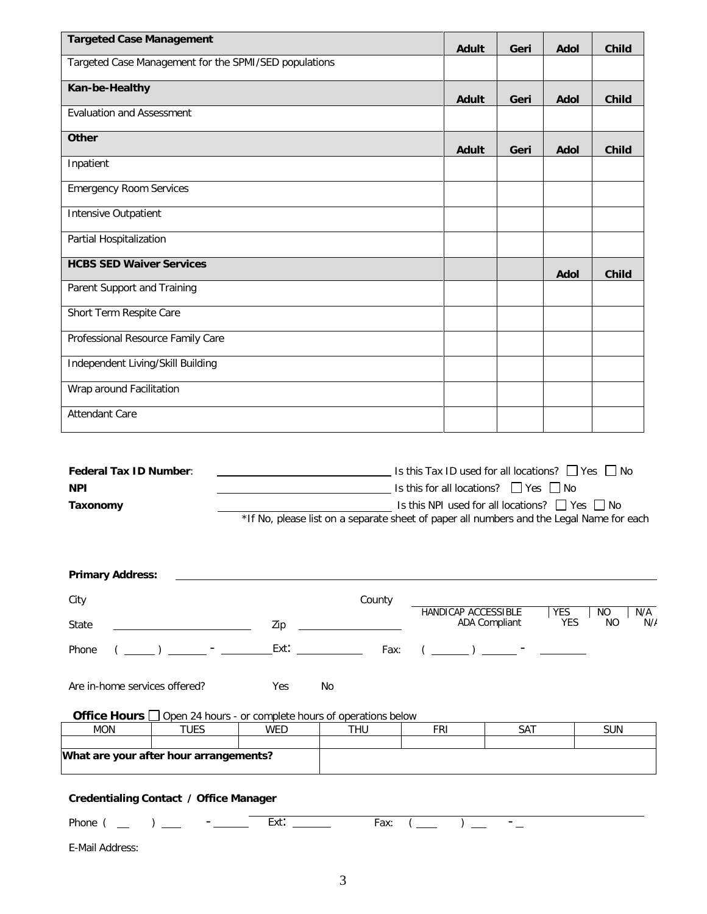|                                                                                                                                                                                                                                                                                                                                                                                                                                                                                                                                               | Adult                                                                                                                                                                      | Geri | Adol                     | <b>Child</b>                              |
|-----------------------------------------------------------------------------------------------------------------------------------------------------------------------------------------------------------------------------------------------------------------------------------------------------------------------------------------------------------------------------------------------------------------------------------------------------------------------------------------------------------------------------------------------|----------------------------------------------------------------------------------------------------------------------------------------------------------------------------|------|--------------------------|-------------------------------------------|
| Targeted Case Management for the SPMI/SED populations                                                                                                                                                                                                                                                                                                                                                                                                                                                                                         |                                                                                                                                                                            |      |                          |                                           |
| Kan-be-Healthy                                                                                                                                                                                                                                                                                                                                                                                                                                                                                                                                |                                                                                                                                                                            |      |                          |                                           |
| <b>Evaluation and Assessment</b>                                                                                                                                                                                                                                                                                                                                                                                                                                                                                                              | <b>Adult</b>                                                                                                                                                               | Geri | <b>Adol</b>              | <b>Child</b>                              |
| <b>Other</b>                                                                                                                                                                                                                                                                                                                                                                                                                                                                                                                                  | <b>Adult</b>                                                                                                                                                               | Geri | <b>Adol</b>              | <b>Child</b>                              |
| Inpatient                                                                                                                                                                                                                                                                                                                                                                                                                                                                                                                                     |                                                                                                                                                                            |      |                          |                                           |
| <b>Emergency Room Services</b>                                                                                                                                                                                                                                                                                                                                                                                                                                                                                                                |                                                                                                                                                                            |      |                          |                                           |
| Intensive Outpatient                                                                                                                                                                                                                                                                                                                                                                                                                                                                                                                          |                                                                                                                                                                            |      |                          |                                           |
| Partial Hospitalization                                                                                                                                                                                                                                                                                                                                                                                                                                                                                                                       |                                                                                                                                                                            |      |                          |                                           |
| <b>HCBS SED Waiver Services</b>                                                                                                                                                                                                                                                                                                                                                                                                                                                                                                               |                                                                                                                                                                            |      | <b>Adol</b>              | <b>Child</b>                              |
| Parent Support and Training                                                                                                                                                                                                                                                                                                                                                                                                                                                                                                                   |                                                                                                                                                                            |      |                          |                                           |
| Short Term Respite Care                                                                                                                                                                                                                                                                                                                                                                                                                                                                                                                       |                                                                                                                                                                            |      |                          |                                           |
| Professional Resource Family Care                                                                                                                                                                                                                                                                                                                                                                                                                                                                                                             |                                                                                                                                                                            |      |                          |                                           |
| Independent Living/Skill Building                                                                                                                                                                                                                                                                                                                                                                                                                                                                                                             |                                                                                                                                                                            |      |                          |                                           |
| Wrap around Facilitation                                                                                                                                                                                                                                                                                                                                                                                                                                                                                                                      |                                                                                                                                                                            |      |                          |                                           |
| <b>Attendant Care</b>                                                                                                                                                                                                                                                                                                                                                                                                                                                                                                                         |                                                                                                                                                                            |      |                          |                                           |
|                                                                                                                                                                                                                                                                                                                                                                                                                                                                                                                                               |                                                                                                                                                                            |      |                          |                                           |
| *If No, please list on a separate sheet of paper all numbers and the Legal Name for each                                                                                                                                                                                                                                                                                                                                                                                                                                                      | Is this Tax ID used for all locations? $\Box$ Yes $\Box$ No<br>Is this for all locations? $\Box$ Yes $\Box$ No<br>Is this NPI used for all locations? $\Box$ Yes $\Box$ No |      |                          |                                           |
|                                                                                                                                                                                                                                                                                                                                                                                                                                                                                                                                               |                                                                                                                                                                            |      |                          |                                           |
| County                                                                                                                                                                                                                                                                                                                                                                                                                                                                                                                                        |                                                                                                                                                                            |      |                          |                                           |
|                                                                                                                                                                                                                                                                                                                                                                                                                                                                                                                                               | HANDICAP ACCESSIBLE<br>ADA Compliant                                                                                                                                       |      | <b>YES</b><br>YES        | N <sub>O</sub><br>N/A<br><b>NO</b><br>N/f |
| $Ext:$ $\frac{1}{2}$ Fax: $\frac{1}{2}$ Fax: $\frac{1}{2}$<br>$(\underline{\hspace{1cm}})$ $\underline{\hspace{1cm}}$ $\cdot$ $\underline{\hspace{1cm}}$ $\cdot$ $\underline{\hspace{1cm}}$ $\cdot$ $\underline{\hspace{1cm}}$ $\cdot$ $\underline{\hspace{1cm}}$ $\cdot$ $\underline{\hspace{1cm}}$ $\cdot$ $\underline{\hspace{1cm}}$ $\cdot$ $\underline{\hspace{1cm}}$ $\cdot$ $\underline{\hspace{1cm}}$ $\cdot$ $\underline{\hspace{1cm}}$ $\cdot$ $\underline{\hspace{1cm}}$ $\cdot$ $\underline{\hspace{1cm}}$ $\cdot$ $\underline{\$ |                                                                                                                                                                            |      | $\overline{\phantom{a}}$ |                                           |
| No<br>Yes                                                                                                                                                                                                                                                                                                                                                                                                                                                                                                                                     |                                                                                                                                                                            |      |                          |                                           |
| <b>Federal Tax ID Number:</b><br><b>NPI</b><br>Taxonomy<br><b>Primary Address:</b><br>City<br>State<br>Phone<br>Are in-home services offered?<br>Office Hours [<br>$\Box$ Open 24 hours - or complete hours of operations below<br><b>TUES</b><br><b>MON</b><br><b>WED</b><br><b>THU</b>                                                                                                                                                                                                                                                      | <b>FRI</b>                                                                                                                                                                 | SAT  |                          | <b>SUN</b>                                |

# **Credentialing Contact / Office Manager**

Phone (  $\qquad$  )  $\qquad$  -  $\qquad$  Ext:  $\qquad$  Fax: (  $\qquad$  )  $\qquad$  -  $\qquad$ 

E-Mail Address: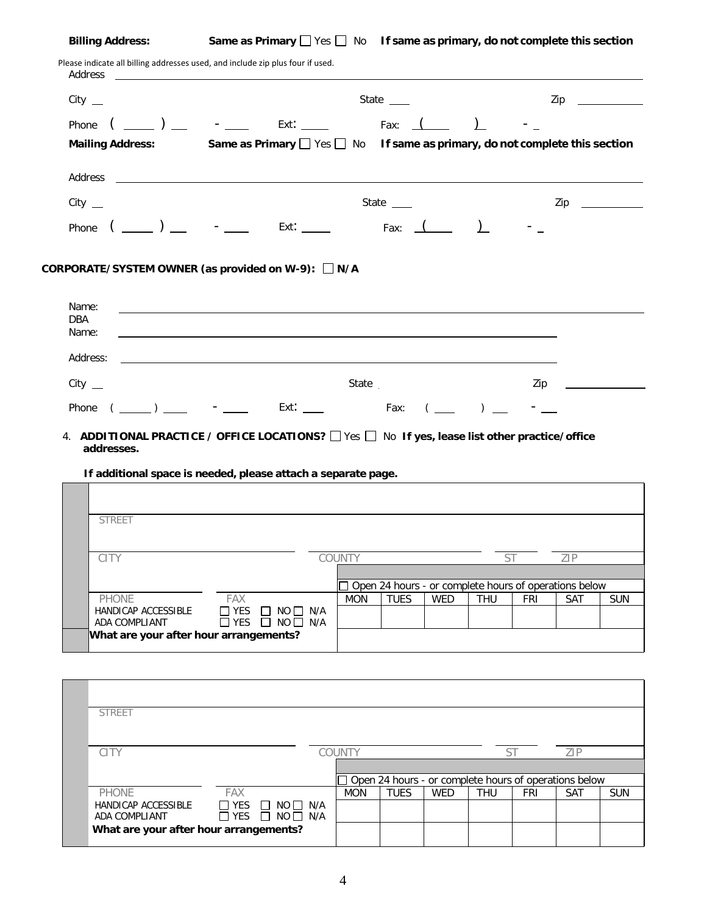ADA COMPLIANT

**What are your after hour arrangements?**

**Billing Address: Same as Primary** Yes No **If same as primary, do not complete this section**

| Phone $($ ________ ) _____ - ______ Ext: _____<br>Fax: $\sqrt{2}$<br>Same as Primary $\Box$ Yes $\Box$ No If same as primary, do not complete this section<br><b>Mailing Address:</b><br>State $\_\_$<br>Zip<br>$City$ $\_\_$<br>Phone $(\_\_)$ $\_\_$<br>Ext: $\begin{array}{cccc} \text{Ext:} & \begin{array}{cccc} & \end{array} & \text{Fax:} & \begin{array}{cccc} & \end{array} & \begin{array}{cccc} \end{array} & \begin{array}{cccc} \end{array} \end{array}$<br>$\mathsf{CORPORTE}/\mathsf{SYSTEM}$ OWNER (as provided on W-9): $\Box$ N/A<br>Name:<br>and the control of the control of the control of the control of the control of the control of the control of the<br>DBA<br>Name:<br>Address:<br>$City$ $\_\_$<br>State<br>Zip<br>Phone $(\_\_\_\_) \_\_\_$ - Ext: $\_\_\_$ Fax: $(\_\_\_) \_\_$<br>4. ADDITIONAL PRACTICE / OFFICE LOCATIONS? The Sample of the system ist other practice/office<br>addresses.<br>If additional space is needed, please attach a separate page.<br><b>STREET</b><br>COUNTY<br>ST<br><b>CITY</b><br>ZIP<br>Open 24 hours - or complete hours of operations below<br><b>TUES</b><br>PHONE<br>FAX<br><b>MON</b><br><b>WED</b><br><b>THU</b><br><b>FRI</b><br>SAT<br>$\Box$ YES $\Box$ NO $\Box$ N/A<br>HANDICAP ACCESSIBLE<br>$\Box$ YES<br>$\Box$ NO $\Box$ N/A<br>ADA COMPLIANT<br>What are your after hour arrangements?<br><b>STREET</b><br>CITY<br>COUNTY<br>ZIP<br>ST<br>Open 24 hours - or complete hours of operations below | $City$ <sub>__</sub> |  |  |  | State $\_\_$ |  | Zip |            |
|------------------------------------------------------------------------------------------------------------------------------------------------------------------------------------------------------------------------------------------------------------------------------------------------------------------------------------------------------------------------------------------------------------------------------------------------------------------------------------------------------------------------------------------------------------------------------------------------------------------------------------------------------------------------------------------------------------------------------------------------------------------------------------------------------------------------------------------------------------------------------------------------------------------------------------------------------------------------------------------------------------------------------------------------------------------------------------------------------------------------------------------------------------------------------------------------------------------------------------------------------------------------------------------------------------------------------------------------------------------------------------------------------------------------------------------------------------------------------------|----------------------|--|--|--|--------------|--|-----|------------|
|                                                                                                                                                                                                                                                                                                                                                                                                                                                                                                                                                                                                                                                                                                                                                                                                                                                                                                                                                                                                                                                                                                                                                                                                                                                                                                                                                                                                                                                                                    |                      |  |  |  |              |  |     |            |
|                                                                                                                                                                                                                                                                                                                                                                                                                                                                                                                                                                                                                                                                                                                                                                                                                                                                                                                                                                                                                                                                                                                                                                                                                                                                                                                                                                                                                                                                                    |                      |  |  |  |              |  |     |            |
|                                                                                                                                                                                                                                                                                                                                                                                                                                                                                                                                                                                                                                                                                                                                                                                                                                                                                                                                                                                                                                                                                                                                                                                                                                                                                                                                                                                                                                                                                    |                      |  |  |  |              |  |     |            |
|                                                                                                                                                                                                                                                                                                                                                                                                                                                                                                                                                                                                                                                                                                                                                                                                                                                                                                                                                                                                                                                                                                                                                                                                                                                                                                                                                                                                                                                                                    |                      |  |  |  |              |  |     |            |
|                                                                                                                                                                                                                                                                                                                                                                                                                                                                                                                                                                                                                                                                                                                                                                                                                                                                                                                                                                                                                                                                                                                                                                                                                                                                                                                                                                                                                                                                                    |                      |  |  |  |              |  |     |            |
|                                                                                                                                                                                                                                                                                                                                                                                                                                                                                                                                                                                                                                                                                                                                                                                                                                                                                                                                                                                                                                                                                                                                                                                                                                                                                                                                                                                                                                                                                    |                      |  |  |  |              |  |     |            |
|                                                                                                                                                                                                                                                                                                                                                                                                                                                                                                                                                                                                                                                                                                                                                                                                                                                                                                                                                                                                                                                                                                                                                                                                                                                                                                                                                                                                                                                                                    |                      |  |  |  |              |  |     |            |
|                                                                                                                                                                                                                                                                                                                                                                                                                                                                                                                                                                                                                                                                                                                                                                                                                                                                                                                                                                                                                                                                                                                                                                                                                                                                                                                                                                                                                                                                                    |                      |  |  |  |              |  |     |            |
|                                                                                                                                                                                                                                                                                                                                                                                                                                                                                                                                                                                                                                                                                                                                                                                                                                                                                                                                                                                                                                                                                                                                                                                                                                                                                                                                                                                                                                                                                    |                      |  |  |  |              |  |     |            |
|                                                                                                                                                                                                                                                                                                                                                                                                                                                                                                                                                                                                                                                                                                                                                                                                                                                                                                                                                                                                                                                                                                                                                                                                                                                                                                                                                                                                                                                                                    |                      |  |  |  |              |  |     |            |
|                                                                                                                                                                                                                                                                                                                                                                                                                                                                                                                                                                                                                                                                                                                                                                                                                                                                                                                                                                                                                                                                                                                                                                                                                                                                                                                                                                                                                                                                                    |                      |  |  |  |              |  |     |            |
|                                                                                                                                                                                                                                                                                                                                                                                                                                                                                                                                                                                                                                                                                                                                                                                                                                                                                                                                                                                                                                                                                                                                                                                                                                                                                                                                                                                                                                                                                    |                      |  |  |  |              |  |     |            |
|                                                                                                                                                                                                                                                                                                                                                                                                                                                                                                                                                                                                                                                                                                                                                                                                                                                                                                                                                                                                                                                                                                                                                                                                                                                                                                                                                                                                                                                                                    |                      |  |  |  |              |  |     |            |
|                                                                                                                                                                                                                                                                                                                                                                                                                                                                                                                                                                                                                                                                                                                                                                                                                                                                                                                                                                                                                                                                                                                                                                                                                                                                                                                                                                                                                                                                                    |                      |  |  |  |              |  |     |            |
|                                                                                                                                                                                                                                                                                                                                                                                                                                                                                                                                                                                                                                                                                                                                                                                                                                                                                                                                                                                                                                                                                                                                                                                                                                                                                                                                                                                                                                                                                    |                      |  |  |  |              |  |     |            |
|                                                                                                                                                                                                                                                                                                                                                                                                                                                                                                                                                                                                                                                                                                                                                                                                                                                                                                                                                                                                                                                                                                                                                                                                                                                                                                                                                                                                                                                                                    |                      |  |  |  |              |  |     |            |
|                                                                                                                                                                                                                                                                                                                                                                                                                                                                                                                                                                                                                                                                                                                                                                                                                                                                                                                                                                                                                                                                                                                                                                                                                                                                                                                                                                                                                                                                                    |                      |  |  |  |              |  |     |            |
|                                                                                                                                                                                                                                                                                                                                                                                                                                                                                                                                                                                                                                                                                                                                                                                                                                                                                                                                                                                                                                                                                                                                                                                                                                                                                                                                                                                                                                                                                    |                      |  |  |  |              |  |     |            |
|                                                                                                                                                                                                                                                                                                                                                                                                                                                                                                                                                                                                                                                                                                                                                                                                                                                                                                                                                                                                                                                                                                                                                                                                                                                                                                                                                                                                                                                                                    |                      |  |  |  |              |  |     |            |
|                                                                                                                                                                                                                                                                                                                                                                                                                                                                                                                                                                                                                                                                                                                                                                                                                                                                                                                                                                                                                                                                                                                                                                                                                                                                                                                                                                                                                                                                                    |                      |  |  |  |              |  |     |            |
|                                                                                                                                                                                                                                                                                                                                                                                                                                                                                                                                                                                                                                                                                                                                                                                                                                                                                                                                                                                                                                                                                                                                                                                                                                                                                                                                                                                                                                                                                    |                      |  |  |  |              |  |     |            |
|                                                                                                                                                                                                                                                                                                                                                                                                                                                                                                                                                                                                                                                                                                                                                                                                                                                                                                                                                                                                                                                                                                                                                                                                                                                                                                                                                                                                                                                                                    |                      |  |  |  |              |  |     |            |
|                                                                                                                                                                                                                                                                                                                                                                                                                                                                                                                                                                                                                                                                                                                                                                                                                                                                                                                                                                                                                                                                                                                                                                                                                                                                                                                                                                                                                                                                                    |                      |  |  |  |              |  |     | <b>SUN</b> |

YES □ NO□ N/A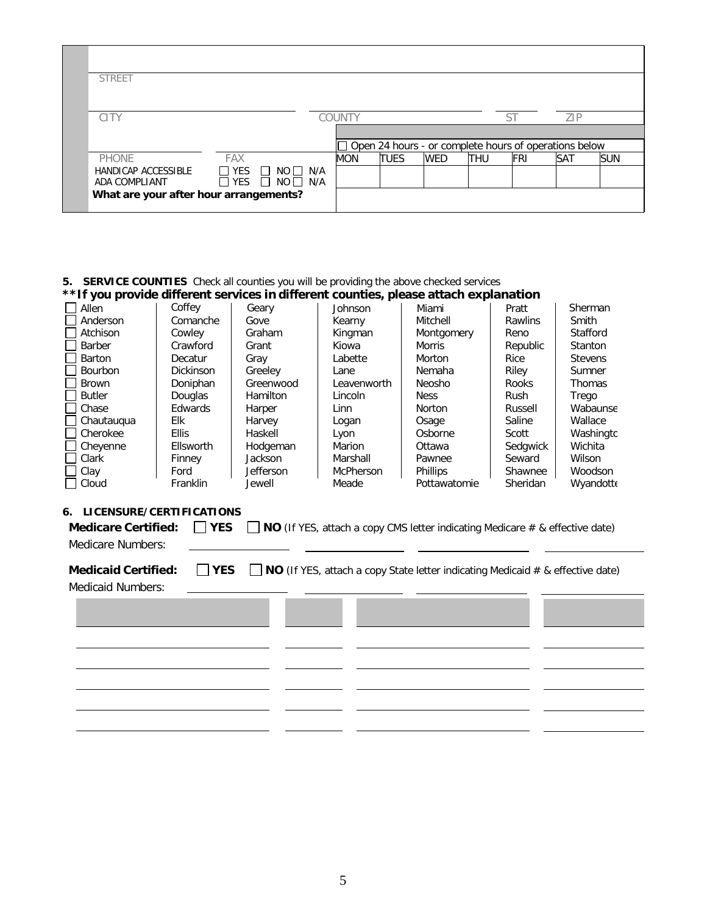| <b>STREET</b>                          |            |                                                                    |               |                                                       |            |            |     |            |            |
|----------------------------------------|------------|--------------------------------------------------------------------|---------------|-------------------------------------------------------|------------|------------|-----|------------|------------|
| <b>CITY</b>                            |            |                                                                    | <b>COUNTY</b> |                                                       |            |            | ST  | ZIP        |            |
|                                        |            |                                                                    |               |                                                       |            |            |     |            |            |
|                                        |            |                                                                    |               | Open 24 hours - or complete hours of operations below |            |            |     |            |            |
| <b>PHONE</b>                           | <b>FAX</b> |                                                                    | MON           | <b>TUES</b>                                           | <b>WED</b> | <b>THU</b> | FRI | <b>SAT</b> | <b>SUN</b> |
| HANDICAP ACCESSIBLE<br>ADA COMPLIANT   |            | $\Box$ YES $\Box$ NO $\Box$ N/A<br>$\Box$ YES $\Box$ NO $\Box$ N/A |               |                                                       |            |            |     |            |            |
| What are your after hour arrangements? |            |                                                                    |               |                                                       |            |            |     |            |            |

#### **5. SERVICE COUNTIES** Check all counties you will be providing the above checked services **\*\*If you provide different services in different counties, please attach explanation**

|               |                  |                  |             | <u> you provide allieral services in allieral evalues, predse attach explaination</u> |                |                |
|---------------|------------------|------------------|-------------|---------------------------------------------------------------------------------------|----------------|----------------|
| Allen         | Coffey           | Geary            | Johnson     | Miami                                                                                 | Pratt          | Sherman        |
| Anderson      | Comanche         | Gove             | Kearny      | Mitchell                                                                              | <b>Rawlins</b> | Smith          |
| Atchison      | Cowley           | Graham           | Kingman     | Montgomery                                                                            | Reno           | Stafford       |
| Barber        | Crawford         | Grant            | Kiowa       | <b>Morris</b>                                                                         | Republic       | Stanton        |
| Barton        | Decatur          | Gray             | Labette     | Morton                                                                                | Rice           | <b>Stevens</b> |
| Bourbon       | <b>Dickinson</b> | Greeley          | Lane        | Nemaha                                                                                | Riley          | Sumner         |
| <b>Brown</b>  | Doniphan         | Greenwood        | Leavenworth | <b>Neosho</b>                                                                         | Rooks          | <b>Thomas</b>  |
| <b>Butler</b> | <b>Douglas</b>   | <b>Hamilton</b>  | Lincoln     | <b>Ness</b>                                                                           | Rush           | Trego          |
| Chase         | Edwards          | Harper           | Linn        | Norton                                                                                | Russell        | Wabaunse       |
| Chautauqua    | Elk              | Harvey           | Logan       | Osage                                                                                 | Saline         | Wallace        |
| Cherokee      | <b>Ellis</b>     | Haskell          | Lyon        | Osborne                                                                               | Scott          | Washingtc      |
| Cheyenne      | Ellsworth        | Hodgeman         | Marion      | Ottawa                                                                                | Sedgwick       | Wichita        |
| Clark         | Finney           | Jackson          | Marshall    | Pawnee                                                                                | Seward         | Wilson         |
| Clay          | Ford             | <b>Jefferson</b> | McPherson   | <b>Phillips</b>                                                                       | Shawnee        | Woodson        |
| Cloud         | Franklin         | Jewell           | Meade       | Pottawatomie                                                                          | Sheridan       | Wyandotte      |

# **6. LICENSURE/CERTIFICATIONS**

|                   | <b>Medicare Certified:</b> $\Box$ <b>YES</b> $\Box$ <b>NO</b> (If YES, attach a copy CMS letter indicating Medicare # & effective date) |
|-------------------|-----------------------------------------------------------------------------------------------------------------------------------------|
| Medicare Numbers: |                                                                                                                                         |

**Medicaid Certified: ■ YES ■ NO** (If YES, attach a copy State letter indicating Medicaid # & effective date)

**TYPE STATE LICENSE # EXP. DATE**

## Medicaid Numbers: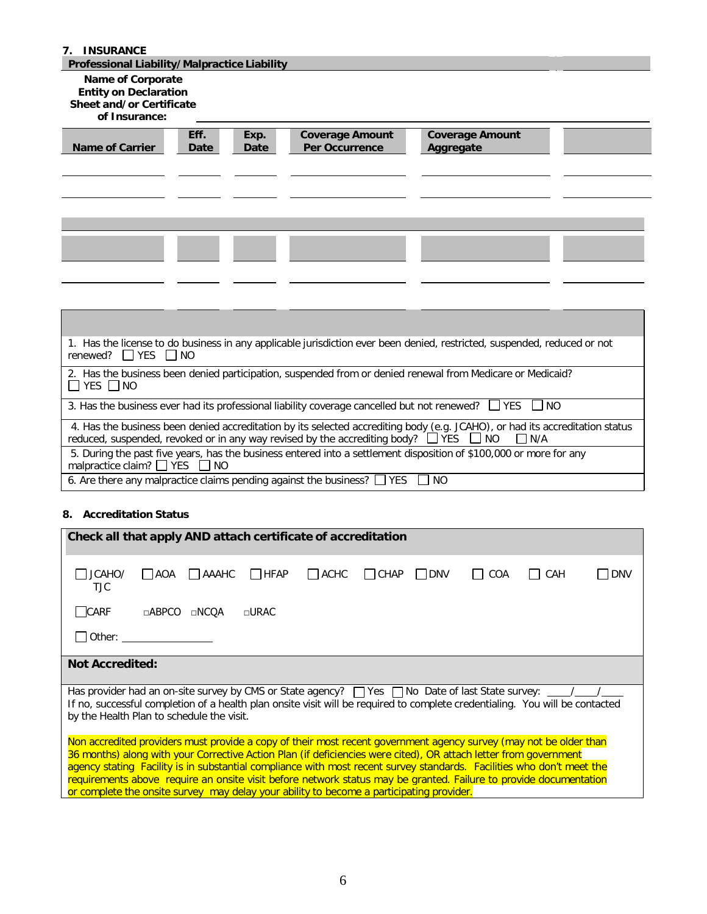#### **7. INSURANCE**

## **Professional Liability/Malpractice Liability**

## **Name of Corporate**

## **Entity on Declaration**

# **Sheet and/or Certificate**

# **of Insurance:**

| <b>Name of Carrier</b> | Eff.<br>Date | Exp.<br>Date | <b>Coverage Amount</b><br>Per Occurrence | <b>Coverage Amount</b><br>Aggregate |  |
|------------------------|--------------|--------------|------------------------------------------|-------------------------------------|--|
|                        |              |              |                                          |                                     |  |
|                        |              |              |                                          |                                     |  |

| 1. Has the license to do business in any applicable jurisdiction ever been denied, restricted, suspended, reduced or not<br>renewed? $\Box$ YES $\Box$ NO                                                                                     |
|-----------------------------------------------------------------------------------------------------------------------------------------------------------------------------------------------------------------------------------------------|
| 2. Has the business been denied participation, suspended from or denied renewal from Medicare or Medicaid?<br>$\Box$ YES $\Box$ NO                                                                                                            |
| 3. Has the business ever had its professional liability coverage cancelled but not renewed? $\Box$ YES $\Box$ NO                                                                                                                              |
| 4. Has the business been denied accreditation by its selected accrediting body (e.g. JCAHO), or had its accreditation status<br>reduced, suspended, revoked or in any way revised by the accrediting body? $\Box$ YES $\Box$ NO<br>$\Box$ N/A |
| 5. During the past five years, has the business entered into a settlement disposition of \$100,000 or more for any<br>malpractice claim? $\Box$ YES $\Box$ NO                                                                                 |
| 6. Are there any malpractice claims pending against the business? $\Box$ YES $\Box$ NO                                                                                                                                                        |

### **8. Accreditation Status**

| Check all that apply AND attach certificate of accreditation                                                                                                                                                                                                                                                                                                                                                                                                                                                                                                                    |
|---------------------------------------------------------------------------------------------------------------------------------------------------------------------------------------------------------------------------------------------------------------------------------------------------------------------------------------------------------------------------------------------------------------------------------------------------------------------------------------------------------------------------------------------------------------------------------|
| $\Box$ HFAP<br>JCAHO/<br>$\Box$ ACHC<br>I CHAP I IDNV<br><b>TAAAHC</b><br>l IAOA<br>I I COA<br><b>DNV</b><br>CAH<br><b>TJC</b>                                                                                                                                                                                                                                                                                                                                                                                                                                                  |
| CARF<br>$\Box$ ABPCO<br>$\sqcap$ URAC<br>$\Box$ NCOA                                                                                                                                                                                                                                                                                                                                                                                                                                                                                                                            |
| Other: the contract of the contract of the contract of the contract of the contract of the contract of the contract of the contract of the contract of the contract of the contract of the contract of the contract of the con                                                                                                                                                                                                                                                                                                                                                  |
| <b>Not Accredited:</b>                                                                                                                                                                                                                                                                                                                                                                                                                                                                                                                                                          |
| Has provider had an on-site survey by CMS or State agency? TVes TNo Date of last State survey: ____/_<br>If no, successful completion of a health plan onsite visit will be required to complete credentialing. You will be contacted<br>by the Health Plan to schedule the visit.                                                                                                                                                                                                                                                                                              |
| Non accredited providers must provide a copy of their most recent government agency survey (may not be older than<br>36 months) along with your Corrective Action Plan (if deficiencies were cited), OR attach letter from government<br>agency stating Facility is in substantial compliance with most recent survey standards. Facilities who don't meet the<br>requirements above require an onsite visit before network status may be granted. Failure to provide documentation<br>or complete the onsite survey may delay your ability to become a participating provider. |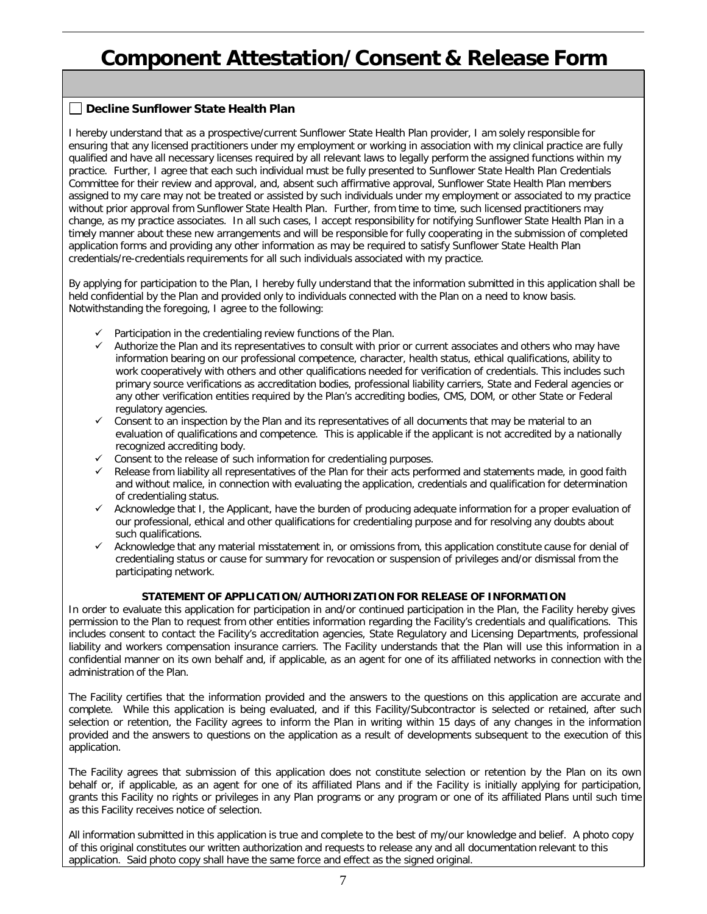# **Component Attestation/Consent & Release Form**

## **Decline Sunflower State Health Plan**

I hereby understand that as a prospective/current Sunflower State Health Plan provider, I am solely responsible for ensuring that any licensed practitioners under my employment or working in association with my clinical practice are fully qualified and have all necessary licenses required by all relevant laws to legally perform the assigned functions within my practice. Further, I agree that each such individual must be fully presented to Sunflower State Health Plan Credentials Committee for their review and approval, and, absent such affirmative approval, Sunflower State Health Plan members assigned to my care may not be treated or assisted by such individuals under my employment or associated to my practice without prior approval from Sunflower State Health Plan. Further, from time to time, such licensed practitioners may change, as my practice associates. In all such cases, I accept responsibility for notifying Sunflower State Health Plan in a timely manner about these new arrangements and will be responsible for fully cooperating in the submission of completed application forms and providing any other information as may be required to satisfy Sunflower State Health Plan credentials/re-credentials requirements for all such individuals associated with my practice.

By applying for participation to the Plan, I hereby fully understand that the information submitted in this application shall be held confidential by the Plan and provided only to individuals connected with the Plan on a need to know basis. Notwithstanding the foregoing, I agree to the following:

- $\checkmark$  Participation in the credentialing review functions of the Plan.
- $\checkmark$  Authorize the Plan and its representatives to consult with prior or current associates and others who may have information bearing on our professional competence, character, health status, ethical qualifications, ability to work cooperatively with others and other qualifications needed for verification of credentials. This includes such primary source verifications as accreditation bodies, professional liability carriers, State and Federal agencies or any other verification entities required by the Plan's accrediting bodies, CMS, DOM, or other State or Federal regulatory agencies.
- $\checkmark$  Consent to an inspection by the Plan and its representatives of all documents that may be material to an evaluation of qualifications and competence. This is applicable if the applicant is not accredited by a nationally recognized accrediting body.
- $\checkmark$  Consent to the release of such information for credentialing purposes.
- $\checkmark$  Release from liability all representatives of the Plan for their acts performed and statements made, in good faith and without malice, in connection with evaluating the application, credentials and qualification for determination of credentialing status.
- $\checkmark$  Acknowledge that I, the Applicant, have the burden of producing adequate information for a proper evaluation of our professional, ethical and other qualifications for credentialing purpose and for resolving any doubts about such qualifications.
- Acknowledge that any material misstatement in, or omissions from, this application constitute cause for denial of credentialing status or cause for summary for revocation or suspension of privileges and/or dismissal from the participating network.

#### **STATEMENT OF APPLICATION/AUTHORIZATION FOR RELEASE OF INFORMATION**

In order to evaluate this application for participation in and/or continued participation in the Plan, the Facility hereby gives permission to the Plan to request from other entities information regarding the Facility's credentials and qualifications. This includes consent to contact the Facility's accreditation agencies, State Regulatory and Licensing Departments, professional liability and workers compensation insurance carriers. The Facility understands that the Plan will use this information in a confidential manner on its own behalf and, if applicable, as an agent for one of its affiliated networks in connection with the administration of the Plan.

The Facility certifies that the information provided and the answers to the questions on this application are accurate and complete. While this application is being evaluated, and if this Facility/Subcontractor is selected or retained, after such selection or retention, the Facility agrees to inform the Plan in writing within 15 days of any changes in the information provided and the answers to questions on the application as a result of developments subsequent to the execution of this application.

The Facility agrees that submission of this application does not constitute selection or retention by the Plan on its own behalf or, if applicable, as an agent for one of its affiliated Plans and if the Facility is initially applying for participation, grants this Facility no rights or privileges in any Plan programs or any program or one of its affiliated Plans until such time as this Facility receives notice of selection.

All information submitted in this application is true and complete to the best of my/our knowledge and belief. A photo copy of this original constitutes our written authorization and requests to release any and all documentation relevant to this application. Said photo copy shall have the same force and effect as the signed original.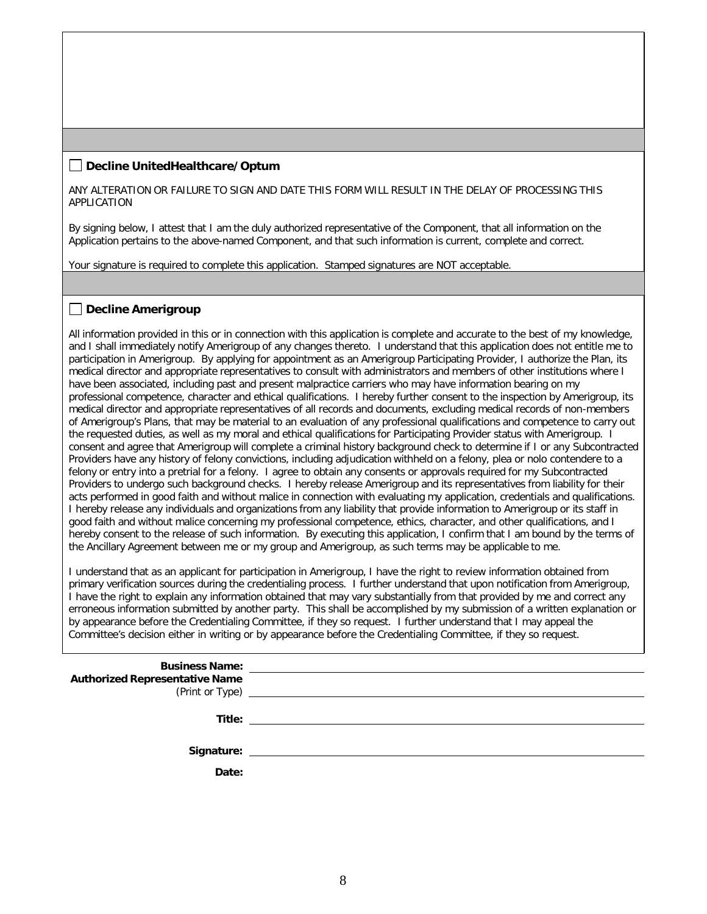### **Decline UnitedHealthcare/Optum**

ANY ALTERATION OR FAILURE TO SIGN AND DATE THIS FORM WILL RESULT IN THE DELAY OF PROCESSING THIS APPLICATION

By signing below, I attest that I am the duly authorized representative of the Component, that all information on the Application pertains to the above-named Component, and that such information is current, complete and correct.

Your signature is required to complete this application. Stamped signatures are NOT acceptable.

#### **Decline Amerigroup**

All information provided in this or in connection with this application is complete and accurate to the best of my knowledge, and I shall immediately notify Amerigroup of any changes thereto. I understand that this application does not entitle me to participation in Amerigroup. By applying for appointment as an Amerigroup Participating Provider, I authorize the Plan, its medical director and appropriate representatives to consult with administrators and members of other institutions where I have been associated, including past and present malpractice carriers who may have information bearing on my professional competence, character and ethical qualifications. I hereby further consent to the inspection by Amerigroup, its medical director and appropriate representatives of all records and documents, excluding medical records of non-members of Amerigroup's Plans, that may be material to an evaluation of any professional qualifications and competence to carry out the requested duties, as well as my moral and ethical qualifications for Participating Provider status with Amerigroup. I consent and agree that Amerigroup will complete a criminal history background check to determine if I or any Subcontracted Providers have any history of felony convictions, including adjudication withheld on a felony, plea or nolo contendere to a felony or entry into a pretrial for a felony. I agree to obtain any consents or approvals required for my Subcontracted Providers to undergo such background checks. I hereby release Amerigroup and its representatives from liability for their acts performed in good faith and without malice in connection with evaluating my application, credentials and qualifications. I hereby release any individuals and organizations from any liability that provide information to Amerigroup or its staff in good faith and without malice concerning my professional competence, ethics, character, and other qualifications, and I hereby consent to the release of such information. By executing this application, I confirm that I am bound by the terms of the Ancillary Agreement between me or my group and Amerigroup, as such terms may be applicable to me.

I understand that as an applicant for participation in Amerigroup, I have the right to review information obtained from primary verification sources during the credentialing process. I further understand that upon notification from Amerigroup, I have the right to explain any information obtained that may vary substantially from that provided by me and correct any erroneous information submitted by another party. This shall be accomplished by my submission of a written explanation or by appearance before the Credentialing Committee, if they so request. I further understand that I may appeal the Committee's decision either in writing or by appearance before the Credentialing Committee, if they so request.

| <b>Business Name:</b><br><b>Authorized Representative Name</b> | <u> 1980 - Jan Samuel Barbara, martin da shekara 1980 - An tsara 1980 - An tsara 1980 - An tsara 1980 - An tsara</u><br>(Print or Type) <u>example and the set of the set of the set of the set of the set of the set of the set of the set of the set of the set of the set of the set of the set of the set of the set of the set of the set of the se</u> |
|----------------------------------------------------------------|--------------------------------------------------------------------------------------------------------------------------------------------------------------------------------------------------------------------------------------------------------------------------------------------------------------------------------------------------------------|
|                                                                |                                                                                                                                                                                                                                                                                                                                                              |
| Date:                                                          |                                                                                                                                                                                                                                                                                                                                                              |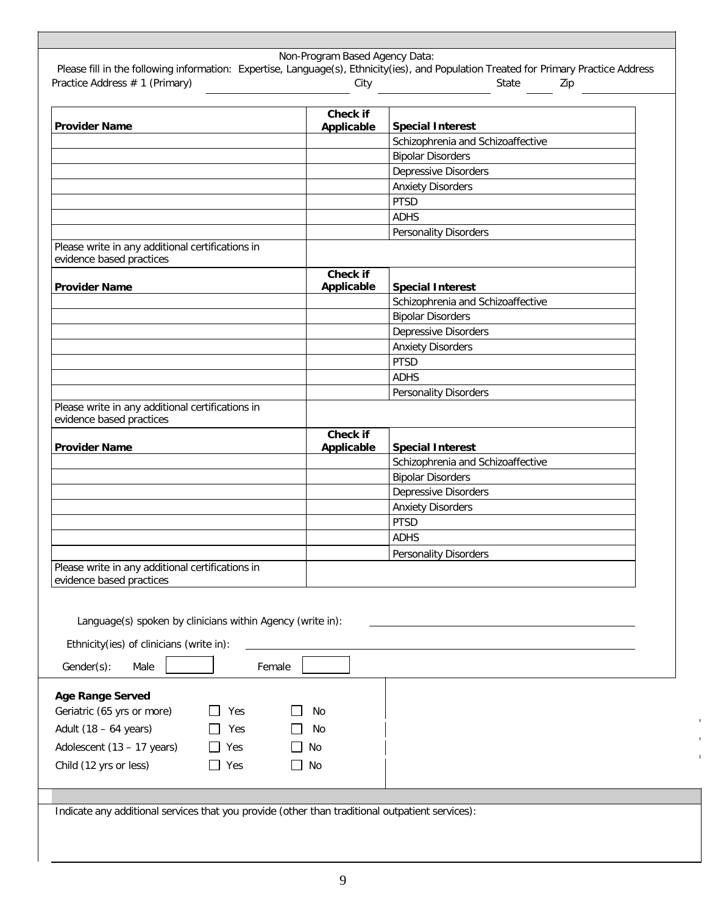|                                                                              | Check if   |                                         |
|------------------------------------------------------------------------------|------------|-----------------------------------------|
| <b>Provider Name</b>                                                         | Applicable | <b>Special Interest</b>                 |
|                                                                              |            | Schizophrenia and Schizoaffective       |
|                                                                              |            | <b>Bipolar Disorders</b>                |
|                                                                              |            | <b>Depressive Disorders</b>             |
|                                                                              |            | <b>Anxiety Disorders</b>                |
|                                                                              |            | <b>PTSD</b>                             |
|                                                                              |            | <b>ADHS</b>                             |
| Please write in any additional certifications in<br>evidence based practices |            | <b>Personality Disorders</b>            |
|                                                                              | Check if   |                                         |
| <b>Provider Name</b>                                                         | Applicable | <b>Special Interest</b>                 |
|                                                                              |            | Schizophrenia and Schizoaffective       |
|                                                                              |            | <b>Bipolar Disorders</b>                |
|                                                                              |            | Depressive Disorders                    |
|                                                                              |            | <b>Anxiety Disorders</b>                |
|                                                                              |            | <b>PTSD</b><br><b>ADHS</b>              |
|                                                                              |            | <b>Personality Disorders</b>            |
| Please write in any additional certifications in<br>evidence based practices |            |                                         |
|                                                                              | Check if   |                                         |
| <b>Provider Name</b>                                                         | Applicable | <b>Special Interest</b>                 |
|                                                                              |            | Schizophrenia and Schizoaffective       |
|                                                                              |            | <b>Bipolar Disorders</b>                |
|                                                                              |            | Depressive Disorders                    |
|                                                                              |            | <b>Anxiety Disorders</b><br><b>PTSD</b> |
|                                                                              |            | <b>ADHS</b>                             |
|                                                                              |            | <b>Personality Disorders</b>            |
| Please write in any additional certifications in                             |            |                                         |
| evidence based practices                                                     |            |                                         |
|                                                                              |            |                                         |
| Language(s) spoken by clinicians within Agency (write in):                   |            |                                         |
| Ethnicity(ies) of clinicians (write in):                                     |            |                                         |
| Gender(s):<br>Male<br>Female                                                 |            |                                         |
|                                                                              |            |                                         |
| <b>Age Range Served</b>                                                      |            |                                         |
| Geriatric (65 yrs or more)<br>Yes                                            | No         |                                         |
| Adult (18 - 64 years)<br>Yes                                                 | No         |                                         |
| Adolescent (13 - 17 years)<br>Yes                                            | No         |                                         |
|                                                                              |            |                                         |
| Child (12 yrs or less)<br>Yes                                                | No         |                                         |

٦